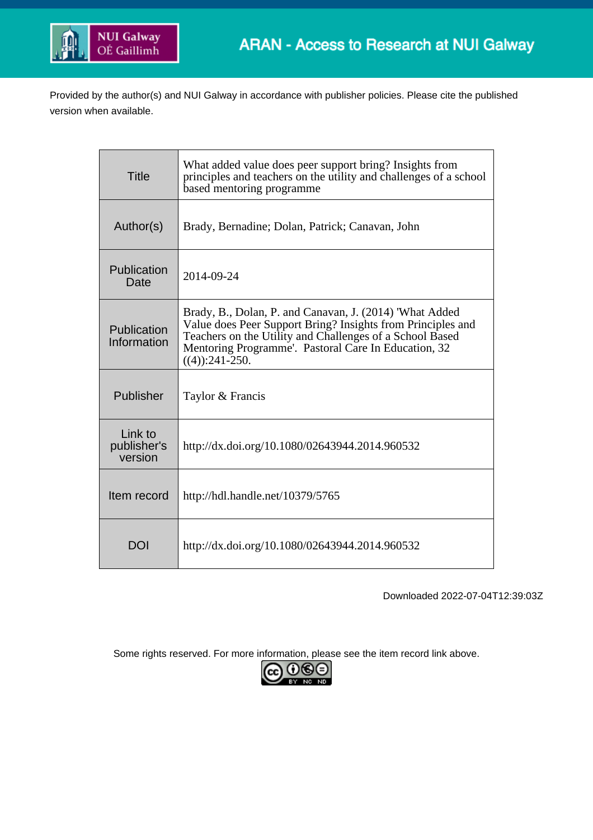

Provided by the author(s) and NUI Galway in accordance with publisher policies. Please cite the published version when available.

| <b>Title</b>                      | What added value does peer support bring? Insights from<br>principles and teachers on the utility and challenges of a school<br>based mentoring programme                                                                                                       |
|-----------------------------------|-----------------------------------------------------------------------------------------------------------------------------------------------------------------------------------------------------------------------------------------------------------------|
| Author(s)                         | Brady, Bernadine; Dolan, Patrick; Canavan, John                                                                                                                                                                                                                 |
| Publication<br>Date               | 2014-09-24                                                                                                                                                                                                                                                      |
| Publication<br>Information        | Brady, B., Dolan, P. and Canavan, J. (2014) 'What Added<br>Value does Peer Support Bring? Insights from Principles and<br>Teachers on the Utility and Challenges of a School Based<br>Mentoring Programme'. Pastoral Care In Education, 32<br>$((4))$ :241-250. |
| Publisher                         | Taylor & Francis                                                                                                                                                                                                                                                |
| Link to<br>publisher's<br>version | http://dx.doi.org/10.1080/02643944.2014.960532                                                                                                                                                                                                                  |
| Item record                       | http://hdl.handle.net/10379/5765                                                                                                                                                                                                                                |
| DOI                               | http://dx.doi.org/10.1080/02643944.2014.960532                                                                                                                                                                                                                  |

Downloaded 2022-07-04T12:39:03Z

Some rights reserved. For more information, please see the item record link above.

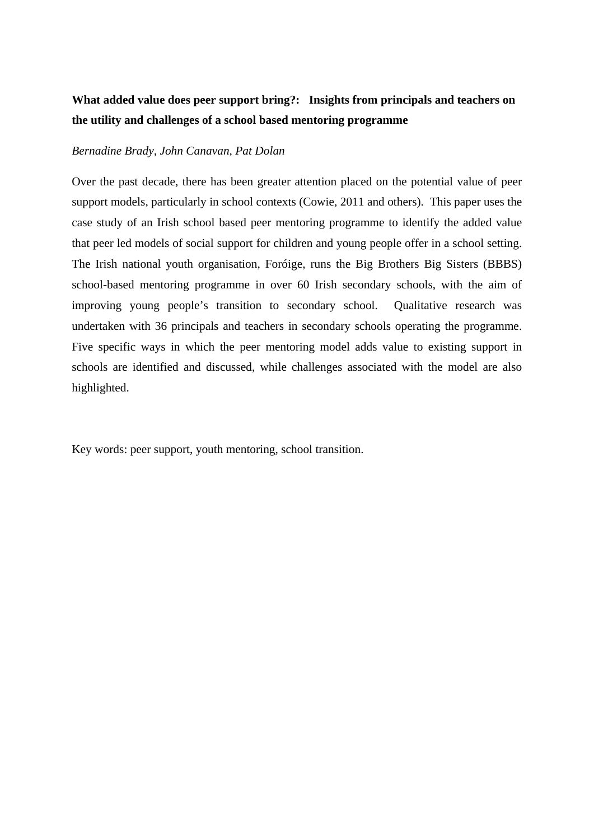# **What added value does peer support bring?: Insights from principals and teachers on the utility and challenges of a school based mentoring programme**

## *Bernadine Brady, John Canavan, Pat Dolan*

Over the past decade, there has been greater attention placed on the potential value of peer support models, particularly in school contexts (Cowie, 2011 and others). This paper uses the case study of an Irish school based peer mentoring programme to identify the added value that peer led models of social support for children and young people offer in a school setting. The Irish national youth organisation, Foróige, runs the Big Brothers Big Sisters (BBBS) school-based mentoring programme in over 60 Irish secondary schools, with the aim of improving young people's transition to secondary school. Qualitative research was undertaken with 36 principals and teachers in secondary schools operating the programme. Five specific ways in which the peer mentoring model adds value to existing support in schools are identified and discussed, while challenges associated with the model are also highlighted.

Key words: peer support, youth mentoring, school transition.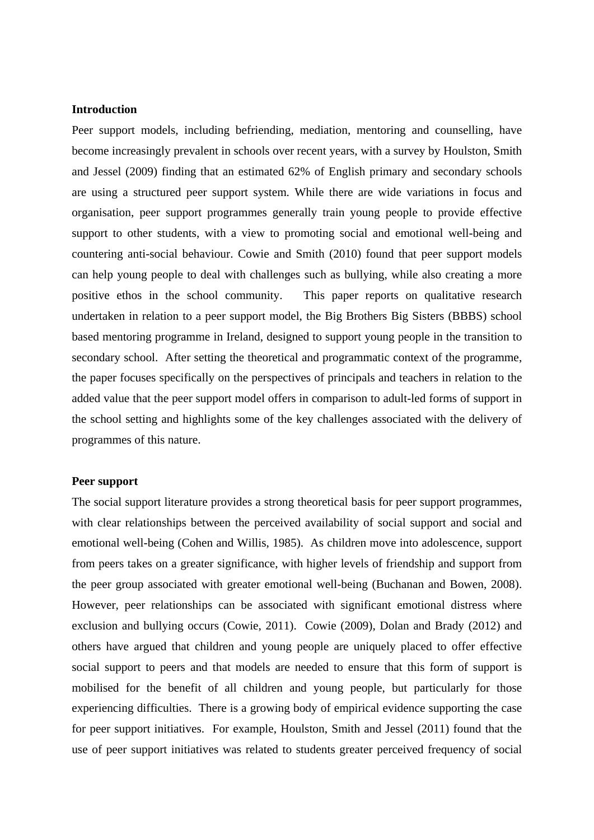## **Introduction**

Peer support models, including befriending, mediation, mentoring and counselling, have become increasingly prevalent in schools over recent years, with a survey by Houlston, Smith and Jessel (2009) finding that an estimated 62% of English primary and secondary schools are using a structured peer support system. While there are wide variations in focus and organisation, peer support programmes generally train young people to provide effective support to other students, with a view to promoting social and emotional well-being and countering anti-social behaviour. Cowie and Smith (2010) found that peer support models can help young people to deal with challenges such as bullying, while also creating a more positive ethos in the school community. This paper reports on qualitative research undertaken in relation to a peer support model, the Big Brothers Big Sisters (BBBS) school based mentoring programme in Ireland, designed to support young people in the transition to secondary school. After setting the theoretical and programmatic context of the programme, the paper focuses specifically on the perspectives of principals and teachers in relation to the added value that the peer support model offers in comparison to adult-led forms of support in the school setting and highlights some of the key challenges associated with the delivery of programmes of this nature.

# **Peer support**

The social support literature provides a strong theoretical basis for peer support programmes, with clear relationships between the perceived availability of social support and social and emotional well-being (Cohen and Willis, 1985). As children move into adolescence, support from peers takes on a greater significance, with higher levels of friendship and support from the peer group associated with greater emotional well-being (Buchanan and Bowen, 2008). However, peer relationships can be associated with significant emotional distress where exclusion and bullying occurs (Cowie, 2011). Cowie (2009), Dolan and Brady (2012) and others have argued that children and young people are uniquely placed to offer effective social support to peers and that models are needed to ensure that this form of support is mobilised for the benefit of all children and young people, but particularly for those experiencing difficulties. There is a growing body of empirical evidence supporting the case for peer support initiatives. For example, Houlston, Smith and Jessel (2011) found that the use of peer support initiatives was related to students greater perceived frequency of social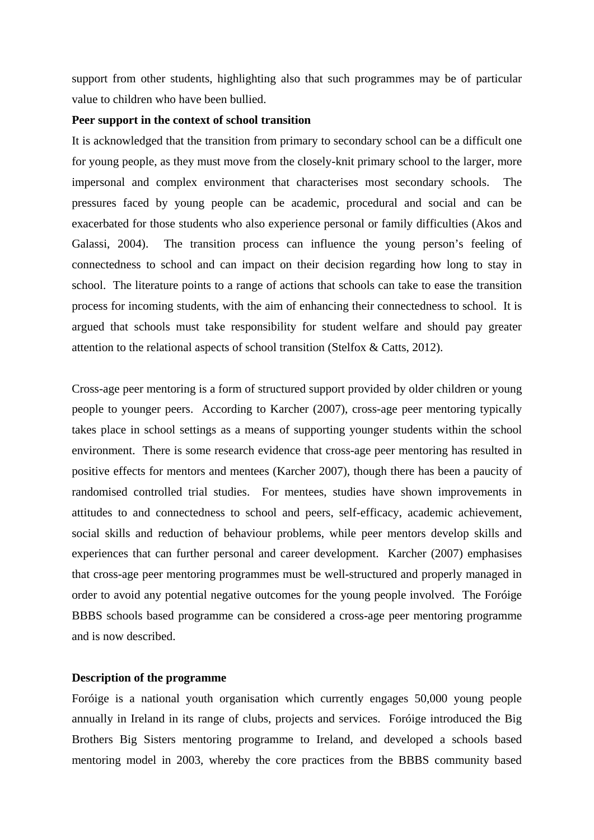support from other students, highlighting also that such programmes may be of particular value to children who have been bullied.

#### **Peer support in the context of school transition**

It is acknowledged that the transition from primary to secondary school can be a difficult one for young people, as they must move from the closely-knit primary school to the larger, more impersonal and complex environment that characterises most secondary schools. The pressures faced by young people can be academic, procedural and social and can be exacerbated for those students who also experience personal or family difficulties (Akos and Galassi, 2004). The transition process can influence the young person's feeling of connectedness to school and can impact on their decision regarding how long to stay in school. The literature points to a range of actions that schools can take to ease the transition process for incoming students, with the aim of enhancing their connectedness to school. It is argued that schools must take responsibility for student welfare and should pay greater attention to the relational aspects of school transition (Stelfox & Catts, 2012).

Cross-age peer mentoring is a form of structured support provided by older children or young people to younger peers. According to Karcher (2007), cross-age peer mentoring typically takes place in school settings as a means of supporting younger students within the school environment. There is some research evidence that cross-age peer mentoring has resulted in positive effects for mentors and mentees (Karcher 2007), though there has been a paucity of randomised controlled trial studies. For mentees, studies have shown improvements in attitudes to and connectedness to school and peers, self-efficacy, academic achievement, social skills and reduction of behaviour problems, while peer mentors develop skills and experiences that can further personal and career development. Karcher (2007) emphasises that cross-age peer mentoring programmes must be well-structured and properly managed in order to avoid any potential negative outcomes for the young people involved. The Foróige BBBS schools based programme can be considered a cross-age peer mentoring programme and is now described.

## **Description of the programme**

Foróige is a national youth organisation which currently engages 50,000 young people annually in Ireland in its range of clubs, projects and services. Foróige introduced the Big Brothers Big Sisters mentoring programme to Ireland, and developed a schools based mentoring model in 2003, whereby the core practices from the BBBS community based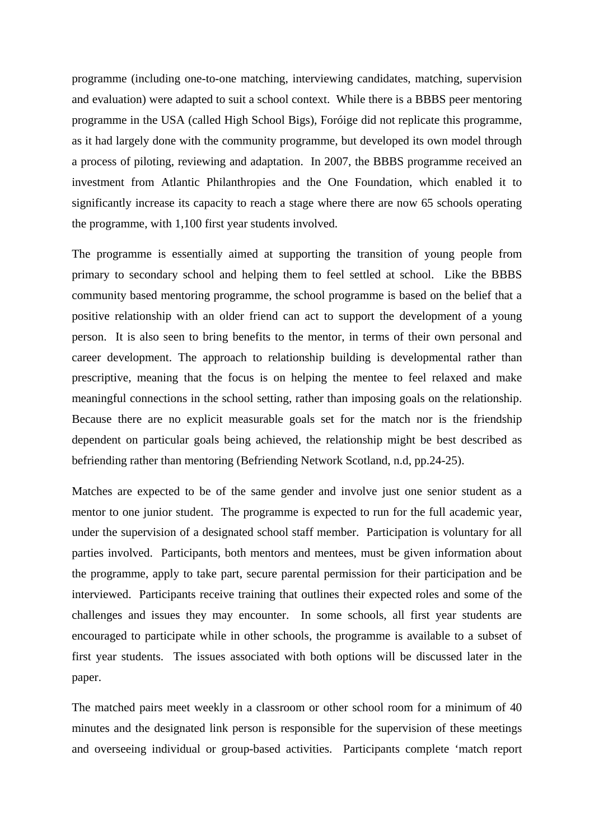programme (including one-to-one matching, interviewing candidates, matching, supervision and evaluation) were adapted to suit a school context. While there is a BBBS peer mentoring programme in the USA (called High School Bigs), Foróige did not replicate this programme, as it had largely done with the community programme, but developed its own model through a process of piloting, reviewing and adaptation. In 2007, the BBBS programme received an investment from Atlantic Philanthropies and the One Foundation, which enabled it to significantly increase its capacity to reach a stage where there are now 65 schools operating the programme, with 1,100 first year students involved.

The programme is essentially aimed at supporting the transition of young people from primary to secondary school and helping them to feel settled at school. Like the BBBS community based mentoring programme, the school programme is based on the belief that a positive relationship with an older friend can act to support the development of a young person. It is also seen to bring benefits to the mentor, in terms of their own personal and career development. The approach to relationship building is developmental rather than prescriptive, meaning that the focus is on helping the mentee to feel relaxed and make meaningful connections in the school setting, rather than imposing goals on the relationship. Because there are no explicit measurable goals set for the match nor is the friendship dependent on particular goals being achieved, the relationship might be best described as befriending rather than mentoring (Befriending Network Scotland, n.d, pp.24-25).

Matches are expected to be of the same gender and involve just one senior student as a mentor to one junior student. The programme is expected to run for the full academic year, under the supervision of a designated school staff member. Participation is voluntary for all parties involved. Participants, both mentors and mentees, must be given information about the programme, apply to take part, secure parental permission for their participation and be interviewed. Participants receive training that outlines their expected roles and some of the challenges and issues they may encounter. In some schools, all first year students are encouraged to participate while in other schools, the programme is available to a subset of first year students. The issues associated with both options will be discussed later in the paper.

The matched pairs meet weekly in a classroom or other school room for a minimum of 40 minutes and the designated link person is responsible for the supervision of these meetings and overseeing individual or group-based activities. Participants complete 'match report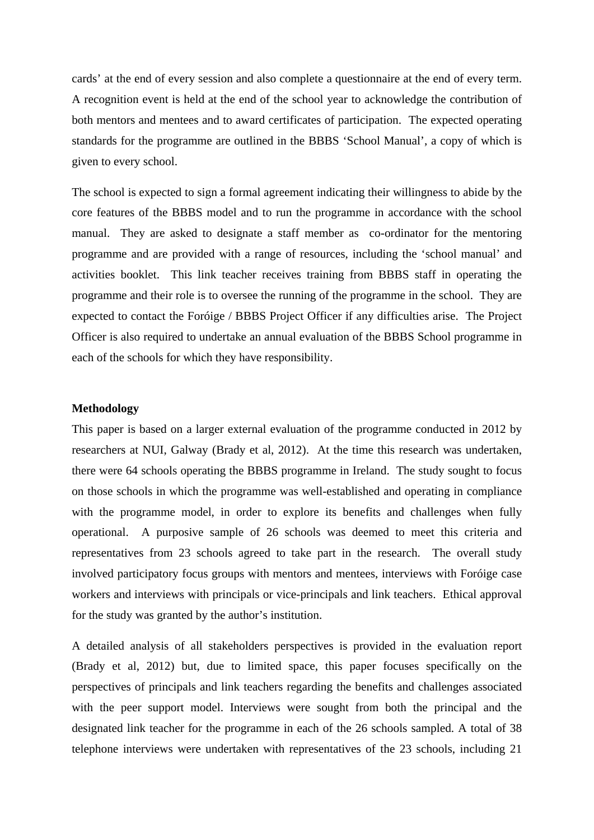cards' at the end of every session and also complete a questionnaire at the end of every term. A recognition event is held at the end of the school year to acknowledge the contribution of both mentors and mentees and to award certificates of participation. The expected operating standards for the programme are outlined in the BBBS 'School Manual', a copy of which is given to every school.

The school is expected to sign a formal agreement indicating their willingness to abide by the core features of the BBBS model and to run the programme in accordance with the school manual. They are asked to designate a staff member as co-ordinator for the mentoring programme and are provided with a range of resources, including the 'school manual' and activities booklet. This link teacher receives training from BBBS staff in operating the programme and their role is to oversee the running of the programme in the school. They are expected to contact the Foróige / BBBS Project Officer if any difficulties arise. The Project Officer is also required to undertake an annual evaluation of the BBBS School programme in each of the schools for which they have responsibility.

## **Methodology**

This paper is based on a larger external evaluation of the programme conducted in 2012 by researchers at NUI, Galway (Brady et al, 2012). At the time this research was undertaken, there were 64 schools operating the BBBS programme in Ireland. The study sought to focus on those schools in which the programme was well-established and operating in compliance with the programme model, in order to explore its benefits and challenges when fully operational. A purposive sample of 26 schools was deemed to meet this criteria and representatives from 23 schools agreed to take part in the research. The overall study involved participatory focus groups with mentors and mentees, interviews with Foróige case workers and interviews with principals or vice-principals and link teachers. Ethical approval for the study was granted by the author's institution.

A detailed analysis of all stakeholders perspectives is provided in the evaluation report (Brady et al, 2012) but, due to limited space, this paper focuses specifically on the perspectives of principals and link teachers regarding the benefits and challenges associated with the peer support model. Interviews were sought from both the principal and the designated link teacher for the programme in each of the 26 schools sampled. A total of 38 telephone interviews were undertaken with representatives of the 23 schools, including 21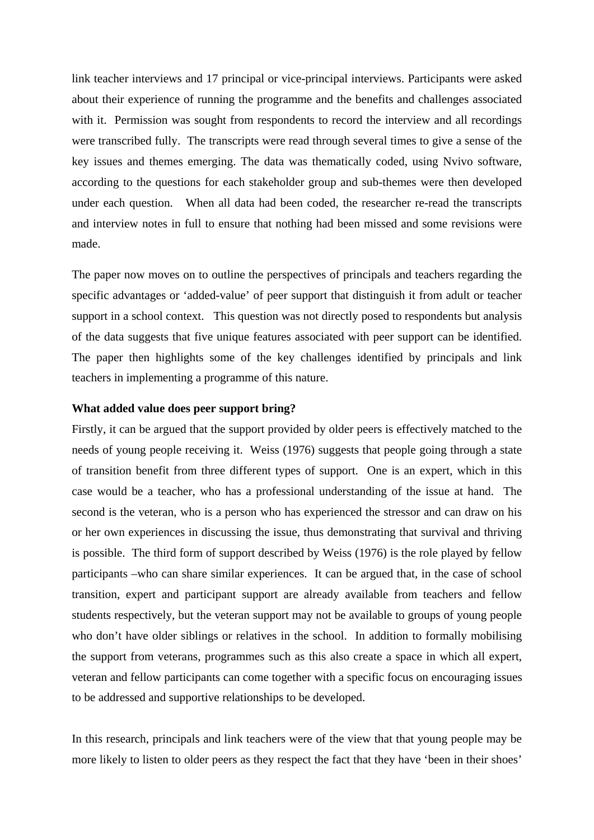link teacher interviews and 17 principal or vice-principal interviews. Participants were asked about their experience of running the programme and the benefits and challenges associated with it. Permission was sought from respondents to record the interview and all recordings were transcribed fully. The transcripts were read through several times to give a sense of the key issues and themes emerging. The data was thematically coded, using Nvivo software, according to the questions for each stakeholder group and sub-themes were then developed under each question. When all data had been coded, the researcher re-read the transcripts and interview notes in full to ensure that nothing had been missed and some revisions were made.

The paper now moves on to outline the perspectives of principals and teachers regarding the specific advantages or 'added-value' of peer support that distinguish it from adult or teacher support in a school context. This question was not directly posed to respondents but analysis of the data suggests that five unique features associated with peer support can be identified. The paper then highlights some of the key challenges identified by principals and link teachers in implementing a programme of this nature.

# **What added value does peer support bring?**

Firstly, it can be argued that the support provided by older peers is effectively matched to the needs of young people receiving it. Weiss (1976) suggests that people going through a state of transition benefit from three different types of support. One is an expert, which in this case would be a teacher, who has a professional understanding of the issue at hand. The second is the veteran, who is a person who has experienced the stressor and can draw on his or her own experiences in discussing the issue, thus demonstrating that survival and thriving is possible. The third form of support described by Weiss (1976) is the role played by fellow participants –who can share similar experiences. It can be argued that, in the case of school transition, expert and participant support are already available from teachers and fellow students respectively, but the veteran support may not be available to groups of young people who don't have older siblings or relatives in the school. In addition to formally mobilising the support from veterans, programmes such as this also create a space in which all expert, veteran and fellow participants can come together with a specific focus on encouraging issues to be addressed and supportive relationships to be developed.

In this research, principals and link teachers were of the view that that young people may be more likely to listen to older peers as they respect the fact that they have 'been in their shoes'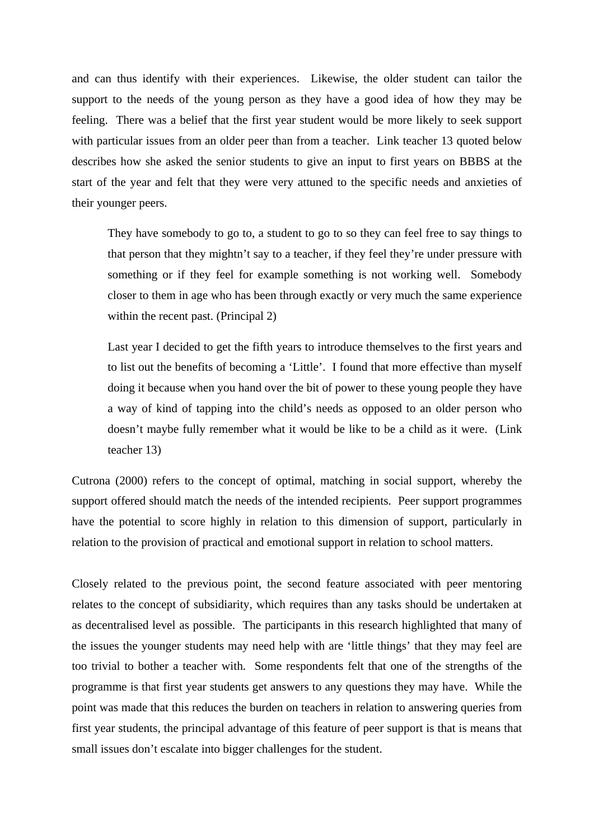and can thus identify with their experiences. Likewise, the older student can tailor the support to the needs of the young person as they have a good idea of how they may be feeling. There was a belief that the first year student would be more likely to seek support with particular issues from an older peer than from a teacher. Link teacher 13 quoted below describes how she asked the senior students to give an input to first years on BBBS at the start of the year and felt that they were very attuned to the specific needs and anxieties of their younger peers.

 They have somebody to go to, a student to go to so they can feel free to say things to that person that they mightn't say to a teacher, if they feel they're under pressure with something or if they feel for example something is not working well. Somebody closer to them in age who has been through exactly or very much the same experience within the recent past. (Principal 2)

 Last year I decided to get the fifth years to introduce themselves to the first years and to list out the benefits of becoming a 'Little'. I found that more effective than myself doing it because when you hand over the bit of power to these young people they have a way of kind of tapping into the child's needs as opposed to an older person who doesn't maybe fully remember what it would be like to be a child as it were. (Link teacher 13)

Cutrona (2000) refers to the concept of optimal, matching in social support, whereby the support offered should match the needs of the intended recipients. Peer support programmes have the potential to score highly in relation to this dimension of support, particularly in relation to the provision of practical and emotional support in relation to school matters.

Closely related to the previous point, the second feature associated with peer mentoring relates to the concept of subsidiarity, which requires than any tasks should be undertaken at as decentralised level as possible. The participants in this research highlighted that many of the issues the younger students may need help with are 'little things' that they may feel are too trivial to bother a teacher with. Some respondents felt that one of the strengths of the programme is that first year students get answers to any questions they may have. While the point was made that this reduces the burden on teachers in relation to answering queries from first year students, the principal advantage of this feature of peer support is that is means that small issues don't escalate into bigger challenges for the student.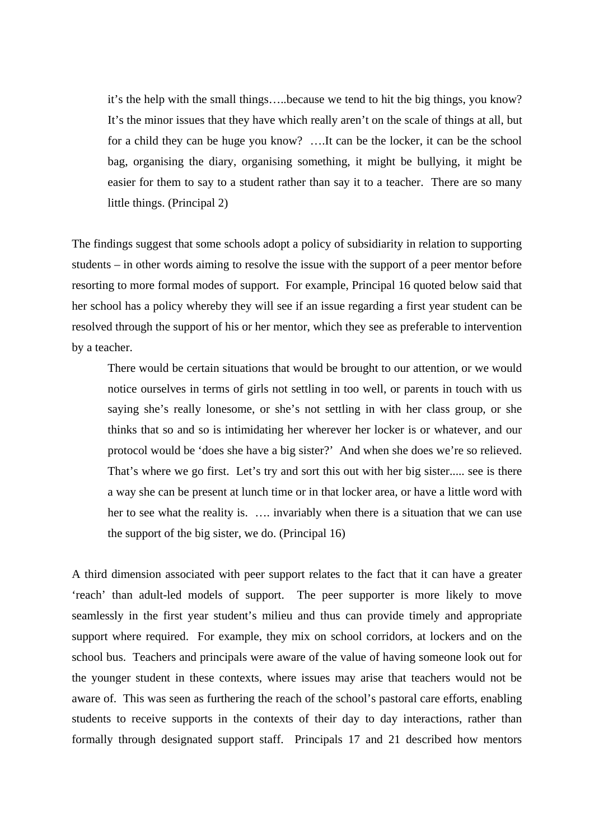it's the help with the small things…..because we tend to hit the big things, you know? It's the minor issues that they have which really aren't on the scale of things at all, but for a child they can be huge you know? ….It can be the locker, it can be the school bag, organising the diary, organising something, it might be bullying, it might be easier for them to say to a student rather than say it to a teacher. There are so many little things. (Principal 2)

The findings suggest that some schools adopt a policy of subsidiarity in relation to supporting students – in other words aiming to resolve the issue with the support of a peer mentor before resorting to more formal modes of support. For example, Principal 16 quoted below said that her school has a policy whereby they will see if an issue regarding a first year student can be resolved through the support of his or her mentor, which they see as preferable to intervention by a teacher.

There would be certain situations that would be brought to our attention, or we would notice ourselves in terms of girls not settling in too well, or parents in touch with us saying she's really lonesome, or she's not settling in with her class group, or she thinks that so and so is intimidating her wherever her locker is or whatever, and our protocol would be 'does she have a big sister?' And when she does we're so relieved. That's where we go first. Let's try and sort this out with her big sister..... see is there a way she can be present at lunch time or in that locker area, or have a little word with her to see what the reality is. …. invariably when there is a situation that we can use the support of the big sister, we do. (Principal 16)

A third dimension associated with peer support relates to the fact that it can have a greater 'reach' than adult-led models of support. The peer supporter is more likely to move seamlessly in the first year student's milieu and thus can provide timely and appropriate support where required. For example, they mix on school corridors, at lockers and on the school bus. Teachers and principals were aware of the value of having someone look out for the younger student in these contexts, where issues may arise that teachers would not be aware of. This was seen as furthering the reach of the school's pastoral care efforts, enabling students to receive supports in the contexts of their day to day interactions, rather than formally through designated support staff. Principals 17 and 21 described how mentors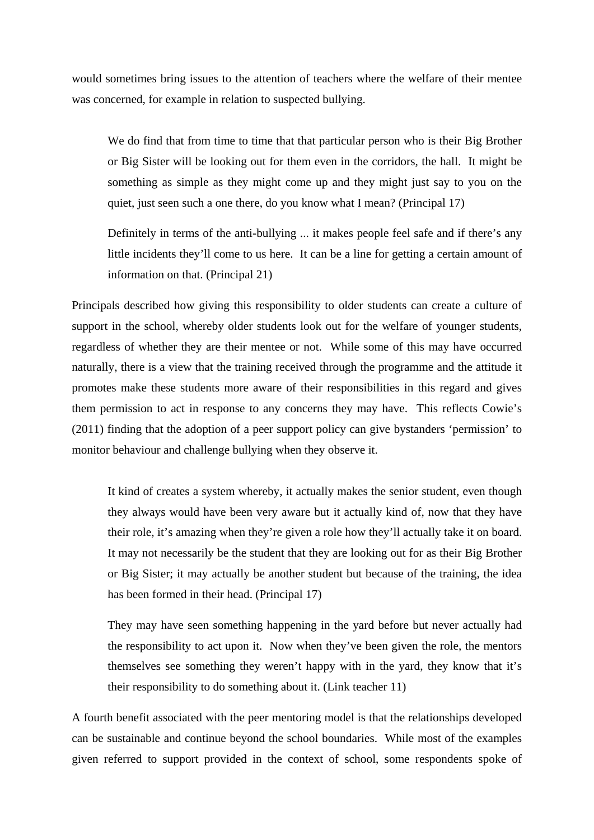would sometimes bring issues to the attention of teachers where the welfare of their mentee was concerned, for example in relation to suspected bullying.

 We do find that from time to time that that particular person who is their Big Brother or Big Sister will be looking out for them even in the corridors, the hall. It might be something as simple as they might come up and they might just say to you on the quiet, just seen such a one there, do you know what I mean? (Principal 17)

 Definitely in terms of the anti-bullying ... it makes people feel safe and if there's any little incidents they'll come to us here. It can be a line for getting a certain amount of information on that. (Principal 21)

Principals described how giving this responsibility to older students can create a culture of support in the school, whereby older students look out for the welfare of younger students, regardless of whether they are their mentee or not. While some of this may have occurred naturally, there is a view that the training received through the programme and the attitude it promotes make these students more aware of their responsibilities in this regard and gives them permission to act in response to any concerns they may have. This reflects Cowie's (2011) finding that the adoption of a peer support policy can give bystanders 'permission' to monitor behaviour and challenge bullying when they observe it.

 It kind of creates a system whereby, it actually makes the senior student, even though they always would have been very aware but it actually kind of, now that they have their role, it's amazing when they're given a role how they'll actually take it on board. It may not necessarily be the student that they are looking out for as their Big Brother or Big Sister; it may actually be another student but because of the training, the idea has been formed in their head. (Principal 17)

 They may have seen something happening in the yard before but never actually had the responsibility to act upon it. Now when they've been given the role, the mentors themselves see something they weren't happy with in the yard, they know that it's their responsibility to do something about it. (Link teacher 11)

A fourth benefit associated with the peer mentoring model is that the relationships developed can be sustainable and continue beyond the school boundaries. While most of the examples given referred to support provided in the context of school, some respondents spoke of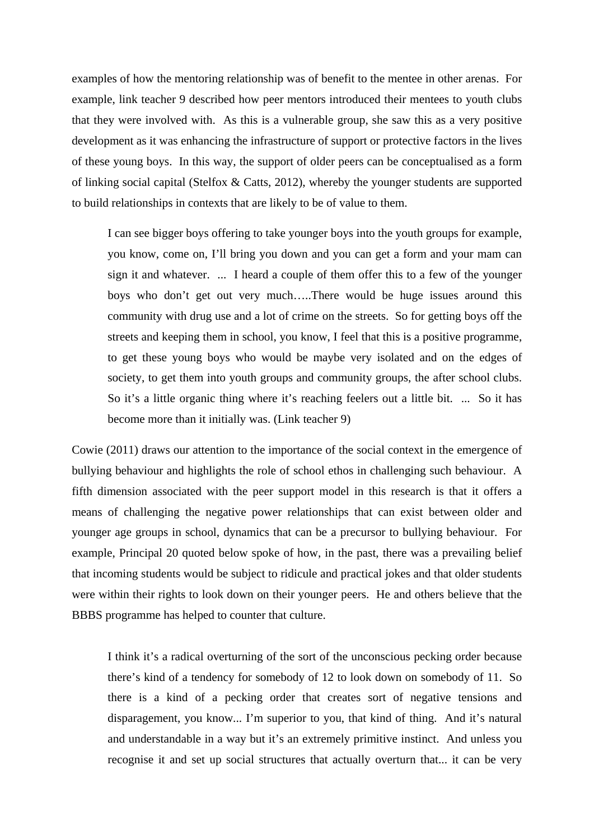examples of how the mentoring relationship was of benefit to the mentee in other arenas. For example, link teacher 9 described how peer mentors introduced their mentees to youth clubs that they were involved with. As this is a vulnerable group, she saw this as a very positive development as it was enhancing the infrastructure of support or protective factors in the lives of these young boys. In this way, the support of older peers can be conceptualised as a form of linking social capital (Stelfox & Catts, 2012), whereby the younger students are supported to build relationships in contexts that are likely to be of value to them.

 I can see bigger boys offering to take younger boys into the youth groups for example, you know, come on, I'll bring you down and you can get a form and your mam can sign it and whatever. ... I heard a couple of them offer this to a few of the younger boys who don't get out very much…..There would be huge issues around this community with drug use and a lot of crime on the streets. So for getting boys off the streets and keeping them in school, you know, I feel that this is a positive programme, to get these young boys who would be maybe very isolated and on the edges of society, to get them into youth groups and community groups, the after school clubs. So it's a little organic thing where it's reaching feelers out a little bit. ... So it has become more than it initially was. (Link teacher 9)

Cowie (2011) draws our attention to the importance of the social context in the emergence of bullying behaviour and highlights the role of school ethos in challenging such behaviour. A fifth dimension associated with the peer support model in this research is that it offers a means of challenging the negative power relationships that can exist between older and younger age groups in school, dynamics that can be a precursor to bullying behaviour. For example, Principal 20 quoted below spoke of how, in the past, there was a prevailing belief that incoming students would be subject to ridicule and practical jokes and that older students were within their rights to look down on their younger peers. He and others believe that the BBBS programme has helped to counter that culture.

 I think it's a radical overturning of the sort of the unconscious pecking order because there's kind of a tendency for somebody of 12 to look down on somebody of 11. So there is a kind of a pecking order that creates sort of negative tensions and disparagement, you know... I'm superior to you, that kind of thing. And it's natural and understandable in a way but it's an extremely primitive instinct. And unless you recognise it and set up social structures that actually overturn that... it can be very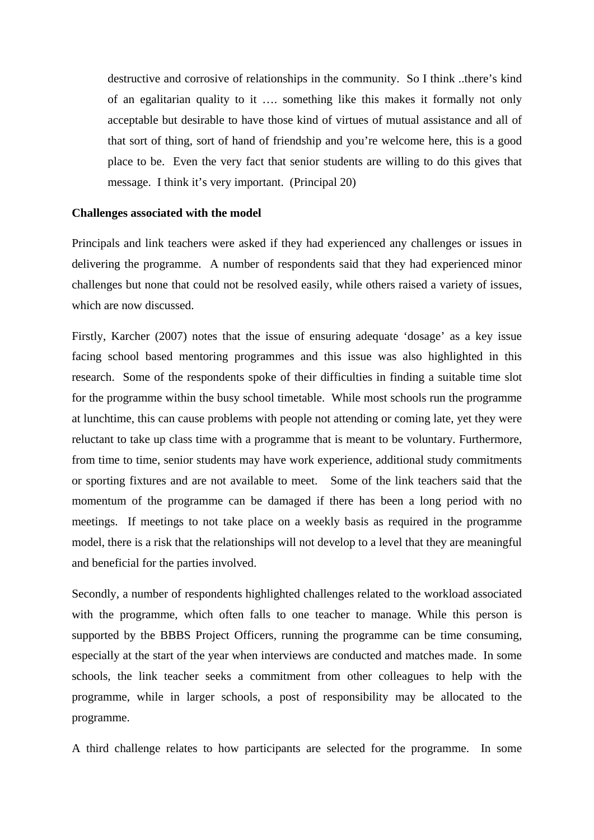destructive and corrosive of relationships in the community. So I think ..there's kind of an egalitarian quality to it …. something like this makes it formally not only acceptable but desirable to have those kind of virtues of mutual assistance and all of that sort of thing, sort of hand of friendship and you're welcome here, this is a good place to be. Even the very fact that senior students are willing to do this gives that message. I think it's very important. (Principal 20)

#### **Challenges associated with the model**

Principals and link teachers were asked if they had experienced any challenges or issues in delivering the programme. A number of respondents said that they had experienced minor challenges but none that could not be resolved easily, while others raised a variety of issues, which are now discussed.

Firstly, Karcher (2007) notes that the issue of ensuring adequate 'dosage' as a key issue facing school based mentoring programmes and this issue was also highlighted in this research. Some of the respondents spoke of their difficulties in finding a suitable time slot for the programme within the busy school timetable. While most schools run the programme at lunchtime, this can cause problems with people not attending or coming late, yet they were reluctant to take up class time with a programme that is meant to be voluntary. Furthermore, from time to time, senior students may have work experience, additional study commitments or sporting fixtures and are not available to meet. Some of the link teachers said that the momentum of the programme can be damaged if there has been a long period with no meetings. If meetings to not take place on a weekly basis as required in the programme model, there is a risk that the relationships will not develop to a level that they are meaningful and beneficial for the parties involved.

Secondly, a number of respondents highlighted challenges related to the workload associated with the programme, which often falls to one teacher to manage. While this person is supported by the BBBS Project Officers, running the programme can be time consuming, especially at the start of the year when interviews are conducted and matches made. In some schools, the link teacher seeks a commitment from other colleagues to help with the programme, while in larger schools, a post of responsibility may be allocated to the programme.

A third challenge relates to how participants are selected for the programme. In some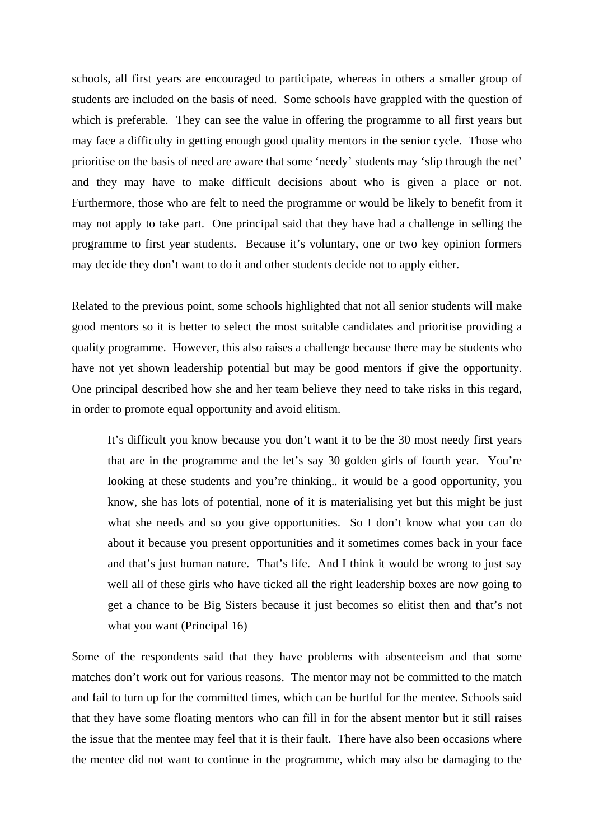schools, all first years are encouraged to participate, whereas in others a smaller group of students are included on the basis of need. Some schools have grappled with the question of which is preferable. They can see the value in offering the programme to all first years but may face a difficulty in getting enough good quality mentors in the senior cycle. Those who prioritise on the basis of need are aware that some 'needy' students may 'slip through the net' and they may have to make difficult decisions about who is given a place or not. Furthermore, those who are felt to need the programme or would be likely to benefit from it may not apply to take part. One principal said that they have had a challenge in selling the programme to first year students. Because it's voluntary, one or two key opinion formers may decide they don't want to do it and other students decide not to apply either.

Related to the previous point, some schools highlighted that not all senior students will make good mentors so it is better to select the most suitable candidates and prioritise providing a quality programme. However, this also raises a challenge because there may be students who have not yet shown leadership potential but may be good mentors if give the opportunity. One principal described how she and her team believe they need to take risks in this regard, in order to promote equal opportunity and avoid elitism.

 It's difficult you know because you don't want it to be the 30 most needy first years that are in the programme and the let's say 30 golden girls of fourth year. You're looking at these students and you're thinking.. it would be a good opportunity, you know, she has lots of potential, none of it is materialising yet but this might be just what she needs and so you give opportunities. So I don't know what you can do about it because you present opportunities and it sometimes comes back in your face and that's just human nature. That's life. And I think it would be wrong to just say well all of these girls who have ticked all the right leadership boxes are now going to get a chance to be Big Sisters because it just becomes so elitist then and that's not what you want (Principal 16)

Some of the respondents said that they have problems with absenteeism and that some matches don't work out for various reasons. The mentor may not be committed to the match and fail to turn up for the committed times, which can be hurtful for the mentee. Schools said that they have some floating mentors who can fill in for the absent mentor but it still raises the issue that the mentee may feel that it is their fault. There have also been occasions where the mentee did not want to continue in the programme, which may also be damaging to the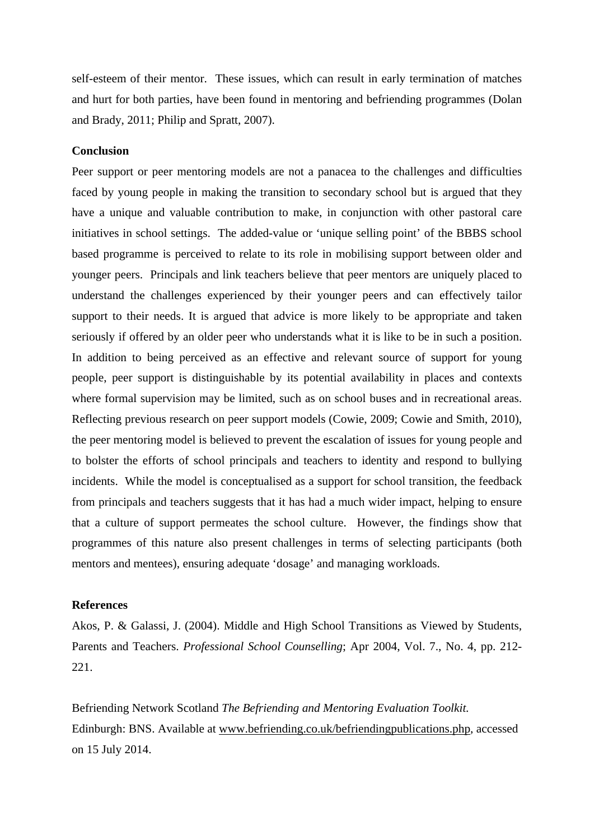self-esteem of their mentor. These issues, which can result in early termination of matches and hurt for both parties, have been found in mentoring and befriending programmes (Dolan and Brady, 2011; Philip and Spratt, 2007).

#### **Conclusion**

Peer support or peer mentoring models are not a panacea to the challenges and difficulties faced by young people in making the transition to secondary school but is argued that they have a unique and valuable contribution to make, in conjunction with other pastoral care initiatives in school settings. The added-value or 'unique selling point' of the BBBS school based programme is perceived to relate to its role in mobilising support between older and younger peers. Principals and link teachers believe that peer mentors are uniquely placed to understand the challenges experienced by their younger peers and can effectively tailor support to their needs. It is argued that advice is more likely to be appropriate and taken seriously if offered by an older peer who understands what it is like to be in such a position. In addition to being perceived as an effective and relevant source of support for young people, peer support is distinguishable by its potential availability in places and contexts where formal supervision may be limited, such as on school buses and in recreational areas. Reflecting previous research on peer support models (Cowie, 2009; Cowie and Smith, 2010), the peer mentoring model is believed to prevent the escalation of issues for young people and to bolster the efforts of school principals and teachers to identity and respond to bullying incidents. While the model is conceptualised as a support for school transition, the feedback from principals and teachers suggests that it has had a much wider impact, helping to ensure that a culture of support permeates the school culture. However, the findings show that programmes of this nature also present challenges in terms of selecting participants (both mentors and mentees), ensuring adequate 'dosage' and managing workloads.

## **References**

Akos, P. & Galassi, J. (2004). Middle and High School Transitions as Viewed by Students, Parents and Teachers. *Professional School Counselling*; Apr 2004, Vol. 7., No. 4, pp. 212- 221.

Befriending Network Scotland *The Befriending and Mentoring Evaluation Toolkit.* Edinburgh: BNS. Available at www.befriending.co.uk/befriendingpublications.php, accessed on 15 July 2014.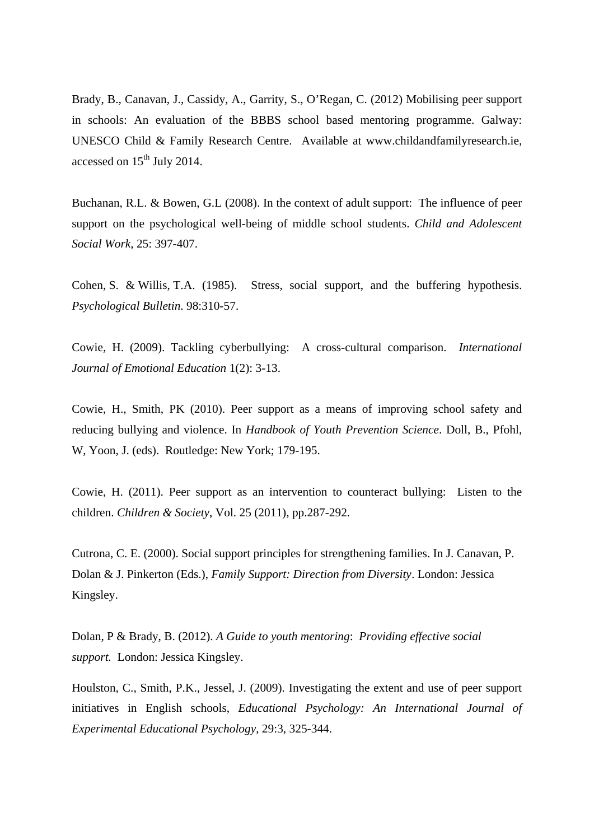Brady, B., Canavan, J., Cassidy, A., Garrity, S., O'Regan, C. (2012) Mobilising peer support in schools: An evaluation of the BBBS school based mentoring programme. Galway: UNESCO Child & Family Research Centre. Available at www.childandfamilyresearch.ie, accessed on  $15<sup>th</sup>$  July 2014.

Buchanan, R.L. & Bowen, G.L (2008). In the context of adult support: The influence of peer support on the psychological well-being of middle school students. *Child and Adolescent Social Work*, 25: 397-407.

Cohen, S. & Willis, T.A. (1985). Stress, social support, and the buffering hypothesis. *Psychological Bulletin*. 98:310-57.

Cowie, H. (2009). Tackling cyberbullying: A cross-cultural comparison. *International Journal of Emotional Education* 1(2): 3-13.

Cowie, H., Smith, PK (2010). Peer support as a means of improving school safety and reducing bullying and violence. In *Handbook of Youth Prevention Science*. Doll, B., Pfohl, W, Yoon, J. (eds). Routledge: New York; 179-195.

Cowie, H. (2011). Peer support as an intervention to counteract bullying: Listen to the children. *Children & Society*, Vol. 25 (2011), pp.287-292.

Cutrona, C. E. (2000). Social support principles for strengthening families. In J. Canavan, P. Dolan & J. Pinkerton (Eds.), *Family Support: Direction from Diversity*. London: Jessica Kingsley.

Dolan, P & Brady, B. (2012). *A Guide to youth mentoring*: *Providing effective social support.* London: Jessica Kingsley.

Houlston, C., Smith, P.K., Jessel, J. (2009). Investigating the extent and use of peer support initiatives in English schools, *Educational Psychology: An International Journal of Experimental Educational Psychology*, 29:3, 325-344.